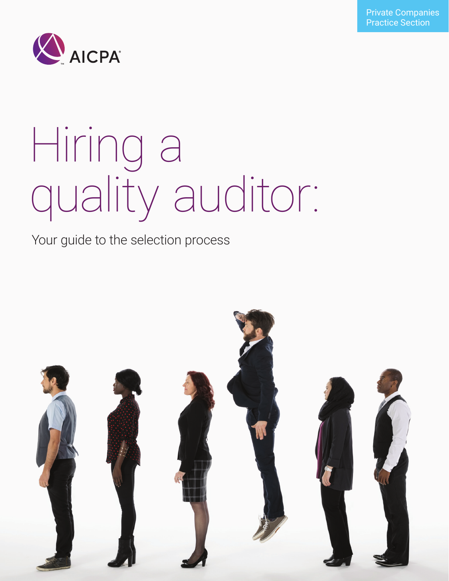

# Hiring a quality auditor:

### Your guide to the selection process

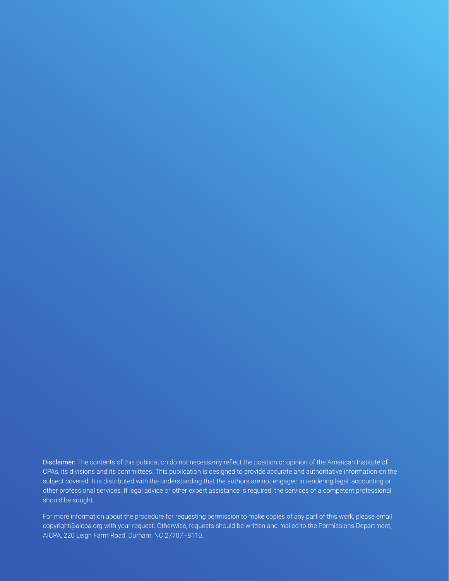Disclaimer: The contents of this publication do not necessarily reflect the position or opinion of the American Institute of CPAs, its divisions and its committees. This publication is designed to provide accurate and authoritative information on the subject covered. It is distributed with the understanding that the authors are not engaged in rendering legal, accounting or other professional services. If legal advice or other expert assistance is required, the services of a competent professional should be sought.

For more information about the procedure for requesting permission to make copies of any part of this work, please email copyright@aicpa.org with your request. Otherwise, requests should be written and mailed to the Permissions Department, AICPA, 220 Leigh Farm Road, Durham, NC 27707–8110.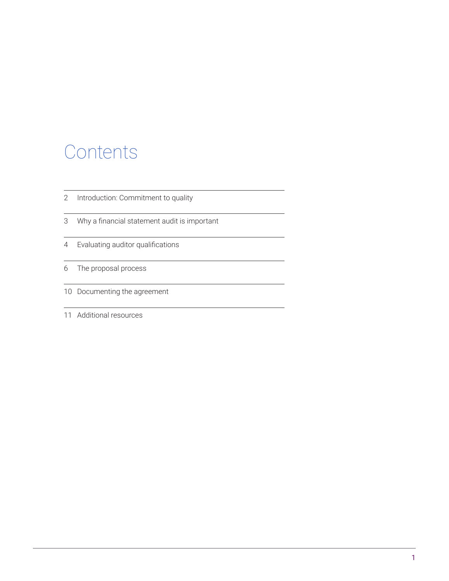### Contents

- [Introduction: Commitment to quality](#page-3-0)
- [Why a financial statement audit is important](#page-4-0)
- [Evaluating auditor qualifications](#page-5-0)
- [The proposal process](#page-7-0)
- [Documenting the agreement](#page-11-0)
- [Additional resources](#page-12-0)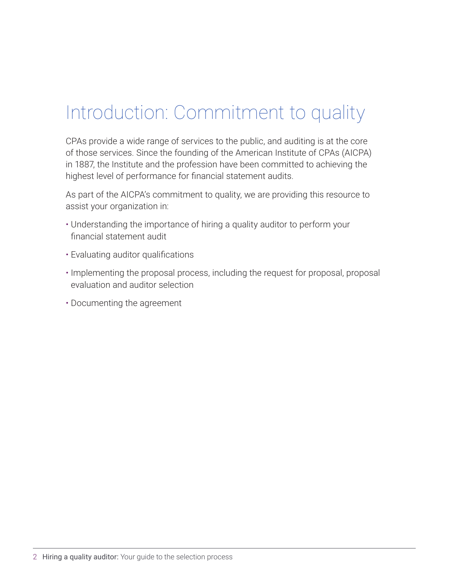### <span id="page-3-0"></span>Introduction: Commitment to quality

CPAs provide a wide range of services to the public, and auditing is at the core of those services. Since the founding of the American Institute of CPAs (AICPA) in 1887, the Institute and the profession have been committed to achieving the highest level of performance for financial statement audits.

As part of the AICPA's commitment to quality, we are providing this resource to assist your organization in:

- Understanding the importance of hiring a quality auditor to perform your financial statement audit
- Evaluating auditor qualifications
- Implementing the proposal process, including the request for proposal, proposal evaluation and auditor selection
- Documenting the agreement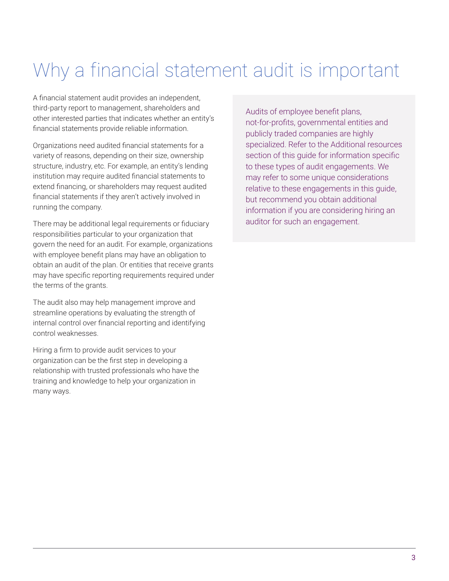### <span id="page-4-0"></span>Why a financial statement audit is important

A financial statement audit provides an independent, third-party report to management, shareholders and other interested parties that indicates whether an entity's financial statements provide reliable information.

Organizations need audited financial statements for a variety of reasons, depending on their size, ownership structure, industry, etc. For example, an entity's lending institution may require audited financial statements to extend financing, or shareholders may request audited financial statements if they aren't actively involved in running the company.

There may be additional legal requirements or fiduciary responsibilities particular to your organization that govern the need for an audit. For example, organizations with employee benefit plans may have an obligation to obtain an audit of the plan. Or entities that receive grants may have specific reporting requirements required under the terms of the grants.

The audit also may help management improve and streamline operations by evaluating the strength of internal control over financial reporting and identifying control weaknesses.

Hiring a firm to provide audit services to your organization can be the first step in developing a relationship with trusted professionals who have the training and knowledge to help your organization in many ways.

Audits of employee benefit plans, not-for-profits, governmental entities and publicly traded companies are highly specialized. Refer to the Additional resources section of this guide for information specific to these types of audit engagements. We may refer to some unique considerations relative to these engagements in this guide, but recommend you obtain additional information if you are considering hiring an auditor for such an engagement.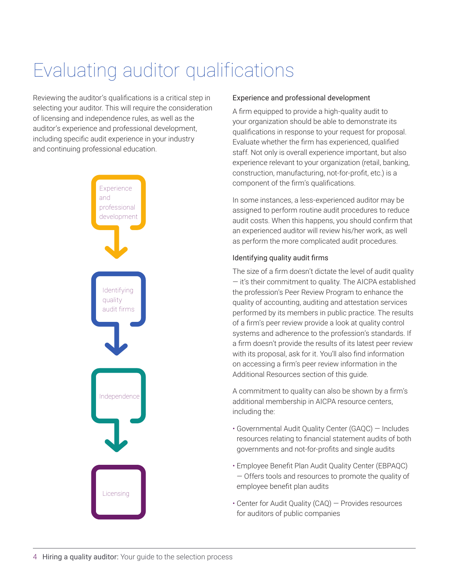### <span id="page-5-0"></span>Evaluating auditor qualifications

Reviewing the auditor's qualifications is a critical step in selecting your auditor. This will require the consideration of licensing and independence rules, as well as the auditor's experience and professional development, including specific audit experience in your industry and continuing professional education.



#### Experience and professional development

A firm equipped to provide a high-quality audit to your organization should be able to demonstrate its qualifications in response to your request for proposal. Evaluate whether the firm has experienced, qualified staff. Not only is overall experience important, but also experience relevant to your organization (retail, banking, construction, manufacturing, not-for-profit, etc.) is a component of the firm's qualifications.

In some instances, a less-experienced auditor may be assigned to perform routine audit procedures to reduce audit costs. When this happens, you should confirm that an experienced auditor will review his/her work, as well as perform the more complicated audit procedures.

#### Identifying quality audit firms

The size of a firm doesn't dictate the level of audit quality — it's their commitment to quality. The AICPA established the profession's Peer Review Program to enhance the quality of accounting, auditing and attestation services performed by its members in public practice. The results of a firm's peer review provide a look at quality control systems and adherence to the profession's standards. If a firm doesn't provide the results of its latest peer review with its proposal, ask for it. You'll also find information on accessing a firm's peer review information in the Additional Resources section of this guide.

A commitment to quality can also be shown by a firm's additional membership in AICPA resource centers, including the:

- Governmental Audit Quality Center (GAQC) Includes resources relating to financial statement audits of both governments and not-for-profits and single audits
- Employee Benefit Plan Audit Quality Center (EBPAQC) — Offers tools and resources to promote the quality of employee benefit plan audits
- Center for Audit Quality (CAQ) Provides resources for auditors of public companies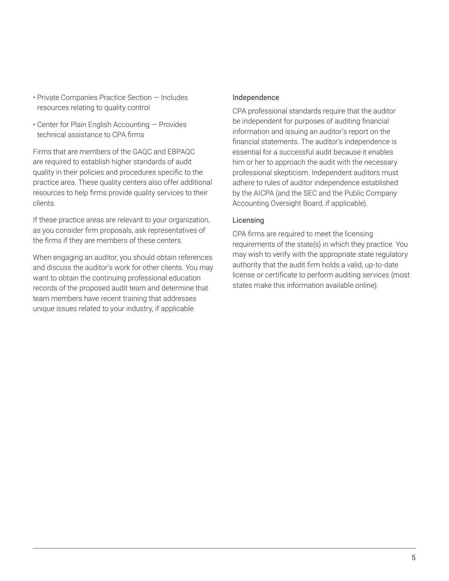- Private Companies Practice Section Includes resources relating to quality control
- Center for Plain English Accounting Provides technical assistance to CPA firms

Firms that are members of the GAQC and EBPAQC are required to establish higher standards of audit quality in their policies and procedures specific to the practice area. These quality centers also offer additional resources to help firms provide quality services to their clients.

If these practice areas are relevant to your organization, as you consider firm proposals, ask representatives of the firms if they are members of these centers.

When engaging an auditor, you should obtain references and discuss the auditor's work for other clients. You may want to obtain the continuing professional education records of the proposed audit team and determine that team members have recent training that addresses unique issues related to your industry, if applicable.

#### Independence

CPA professional standards require that the auditor be independent for purposes of auditing financial information and issuing an auditor's report on the financial statements. The auditor's independence is essential for a successful audit because it enables him or her to approach the audit with the necessary professional skepticism. Independent auditors must adhere to rules of auditor independence established by the AICPA (and the SEC and the Public Company Accounting Oversight Board, if applicable).

#### Licensing

CPA firms are required to meet the licensing requirements of the state(s) in which they practice. You may wish to verify with the appropriate state regulatory authority that the audit firm holds a valid, up-to-date license or certificate to perform auditing services (most states make this information available online).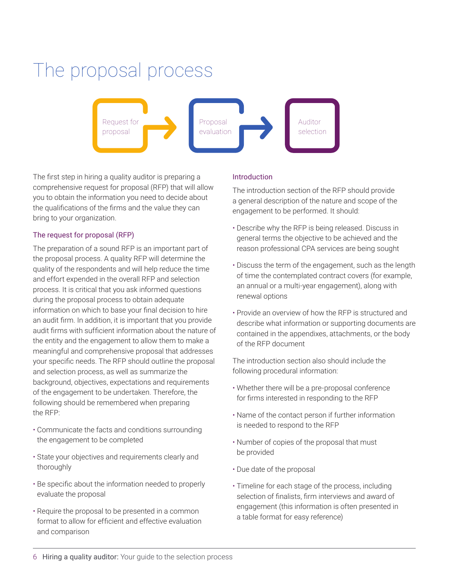### <span id="page-7-0"></span>The proposal process



The first step in hiring a quality auditor is preparing a comprehensive request for proposal (RFP) that will allow you to obtain the information you need to decide about the qualifications of the firms and the value they can bring to your organization.

#### The request for proposal (RFP)

The preparation of a sound RFP is an important part of the proposal process. A quality RFP will determine the quality of the respondents and will help reduce the time and effort expended in the overall RFP and selection process. It is critical that you ask informed questions during the proposal process to obtain adequate information on which to base your final decision to hire an audit firm. In addition, it is important that you provide audit firms with sufficient information about the nature of the entity and the engagement to allow them to make a meaningful and comprehensive proposal that addresses your specific needs. The RFP should outline the proposal and selection process, as well as summarize the background, objectives, expectations and requirements of the engagement to be undertaken. Therefore, the following should be remembered when preparing the RFP:

- Communicate the facts and conditions surrounding the engagement to be completed
- State your objectives and requirements clearly and thoroughly
- Be specific about the information needed to properly evaluate the proposal
- Require the proposal to be presented in a common format to allow for efficient and effective evaluation and comparison

#### Introduction

The introduction section of the RFP should provide a general description of the nature and scope of the engagement to be performed. It should:

- Describe why the RFP is being released. Discuss in general terms the objective to be achieved and the reason professional CPA services are being sought
- Discuss the term of the engagement, such as the length of time the contemplated contract covers (for example, an annual or a multi-year engagement), along with renewal options
- Provide an overview of how the RFP is structured and describe what information or supporting documents are contained in the appendixes, attachments, or the body of the RFP document

The introduction section also should include the following procedural information:

- Whether there will be a pre-proposal conference for firms interested in responding to the RFP
- Name of the contact person if further information is needed to respond to the RFP
- Number of copies of the proposal that must be provided
- Due date of the proposal
- Timeline for each stage of the process, including selection of finalists, firm interviews and award of engagement (this information is often presented in a table format for easy reference)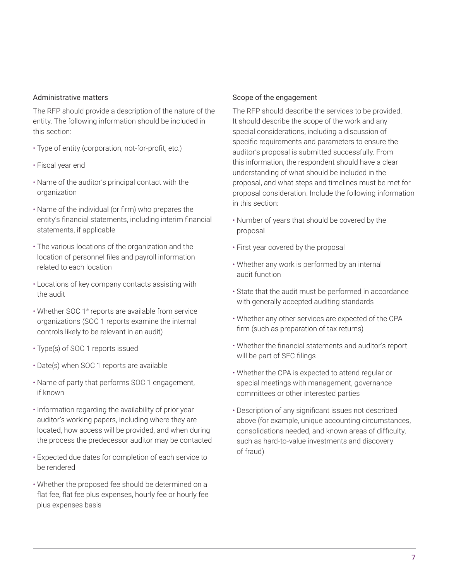#### Administrative matters

The RFP should provide a description of the nature of the entity. The following information should be included in this section:

- Type of entity (corporation, not-for-profit, etc.)
- Fiscal year end
- Name of the auditor's principal contact with the organization
- Name of the individual (or firm) who prepares the entity's financial statements, including interim financial statements, if applicable
- The various locations of the organization and the location of personnel files and payroll information related to each location
- Locations of key company contacts assisting with the audit
- Whether SOC 1® reports are available from service organizations (SOC 1 reports examine the internal controls likely to be relevant in an audit)
- Type(s) of SOC 1 reports issued
- Date(s) when SOC 1 reports are available
- Name of party that performs SOC 1 engagement, if known
- Information regarding the availability of prior year auditor's working papers, including where they are located, how access will be provided, and when during the process the predecessor auditor may be contacted
- Expected due dates for completion of each service to be rendered
- Whether the proposed fee should be determined on a flat fee, flat fee plus expenses, hourly fee or hourly fee plus expenses basis

#### Scope of the engagement

The RFP should describe the services to be provided. It should describe the scope of the work and any special considerations, including a discussion of specific requirements and parameters to ensure the auditor's proposal is submitted successfully. From this information, the respondent should have a clear understanding of what should be included in the proposal, and what steps and timelines must be met for proposal consideration. Include the following information in this section:

- Number of years that should be covered by the proposal
- First year covered by the proposal
- Whether any work is performed by an internal audit function
- State that the audit must be performed in accordance with generally accepted auditing standards
- Whether any other services are expected of the CPA firm (such as preparation of tax returns)
- Whether the financial statements and auditor's report will be part of SEC filings
- Whether the CPA is expected to attend regular or special meetings with management, governance committees or other interested parties
- Description of any significant issues not described above (for example, unique accounting circumstances, consolidations needed, and known areas of difficulty, such as hard-to-value investments and discovery of fraud)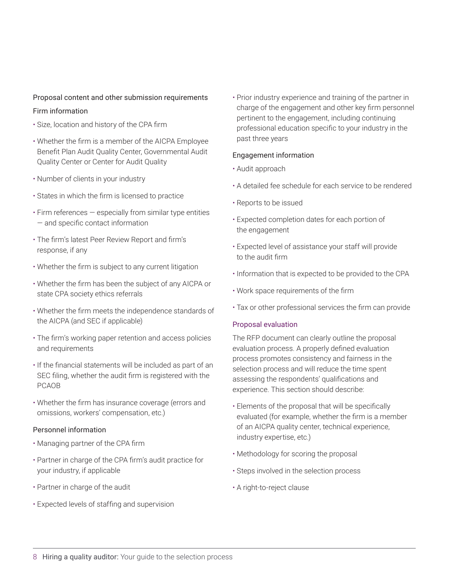#### Proposal content and other submission requirements

#### Firm information

- Size, location and history of the CPA firm
- Whether the firm is a member of the AICPA Employee Benefit Plan Audit Quality Center, Governmental Audit Quality Center or Center for Audit Quality
- Number of clients in your industry
- States in which the firm is licensed to practice
- Firm references especially from similar type entities — and specific contact information
- The firm's latest Peer Review Report and firm's response, if any
- Whether the firm is subject to any current litigation
- Whether the firm has been the subject of any AICPA or state CPA society ethics referrals
- Whether the firm meets the independence standards of the AICPA (and SEC if applicable)
- The firm's working paper retention and access policies and requirements
- If the financial statements will be included as part of an SEC filing, whether the audit firm is registered with the PCAOB
- Whether the firm has insurance coverage (errors and omissions, workers' compensation, etc.)

#### Personnel information

- Managing partner of the CPA firm
- Partner in charge of the CPA firm's audit practice for your industry, if applicable
- Partner in charge of the audit
- Expected levels of staffing and supervision

• Prior industry experience and training of the partner in charge of the engagement and other key firm personnel pertinent to the engagement, including continuing professional education specific to your industry in the past three years

#### Engagement information

- Audit approach
- A detailed fee schedule for each service to be rendered
- Reports to be issued
- Expected completion dates for each portion of the engagement
- Expected level of assistance your staff will provide to the audit firm
- Information that is expected to be provided to the CPA
- Work space requirements of the firm
- Tax or other professional services the firm can provide

#### Proposal evaluation

The RFP document can clearly outline the proposal evaluation process. A properly defined evaluation process promotes consistency and fairness in the selection process and will reduce the time spent assessing the respondents' qualifications and experience. This section should describe:

- Elements of the proposal that will be specifically evaluated (for example, whether the firm is a member of an AICPA quality center, technical experience, industry expertise, etc.)
- Methodology for scoring the proposal
- Steps involved in the selection process
- A right-to-reject clause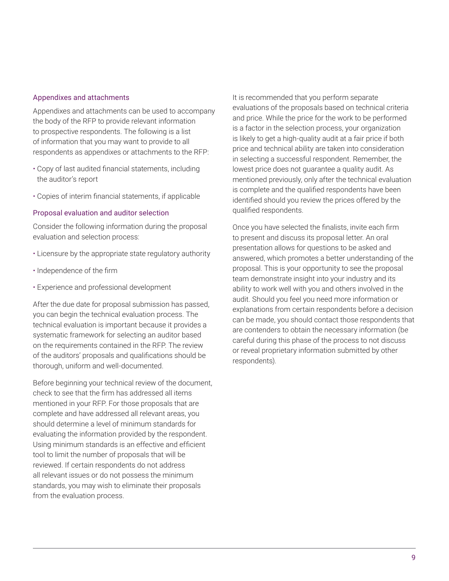#### Appendixes and attachments

Appendixes and attachments can be used to accompany the body of the RFP to provide relevant information to prospective respondents. The following is a list of information that you may want to provide to all respondents as appendixes or attachments to the RFP:

- Copy of last audited financial statements, including the auditor's report
- Copies of interim financial statements, if applicable

#### Proposal evaluation and auditor selection

Consider the following information during the proposal evaluation and selection process:

- Licensure by the appropriate state regulatory authority
- Independence of the firm
- Experience and professional development

After the due date for proposal submission has passed, you can begin the technical evaluation process. The technical evaluation is important because it provides a systematic framework for selecting an auditor based on the requirements contained in the RFP. The review of the auditors' proposals and qualifications should be thorough, uniform and well-documented.

Before beginning your technical review of the document, check to see that the firm has addressed all items mentioned in your RFP. For those proposals that are complete and have addressed all relevant areas, you should determine a level of minimum standards for evaluating the information provided by the respondent. Using minimum standards is an effective and efficient tool to limit the number of proposals that will be reviewed. If certain respondents do not address all relevant issues or do not possess the minimum standards, you may wish to eliminate their proposals from the evaluation process.

It is recommended that you perform separate evaluations of the proposals based on technical criteria and price. While the price for the work to be performed is a factor in the selection process, your organization is likely to get a high-quality audit at a fair price if both price and technical ability are taken into consideration in selecting a successful respondent. Remember, the lowest price does not guarantee a quality audit. As mentioned previously, only after the technical evaluation is complete and the qualified respondents have been identified should you review the prices offered by the qualified respondents.

Once you have selected the finalists, invite each firm to present and discuss its proposal letter. An oral presentation allows for questions to be asked and answered, which promotes a better understanding of the proposal. This is your opportunity to see the proposal team demonstrate insight into your industry and its ability to work well with you and others involved in the audit. Should you feel you need more information or explanations from certain respondents before a decision can be made, you should contact those respondents that are contenders to obtain the necessary information (be careful during this phase of the process to not discuss or reveal proprietary information submitted by other respondents).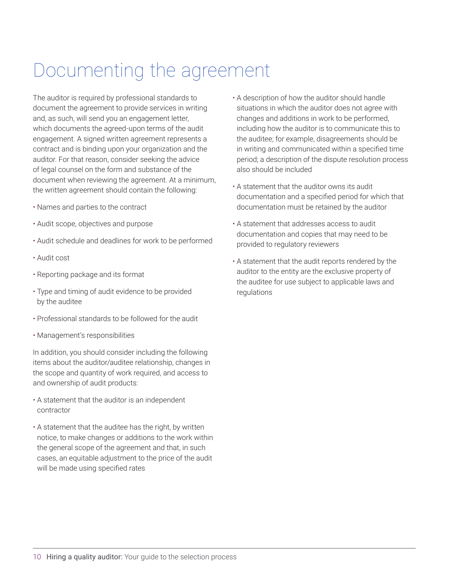### <span id="page-11-0"></span>Documenting the agreement

The auditor is required by professional standards to document the agreement to provide services in writing and, as such, will send you an engagement letter, which documents the agreed-upon terms of the audit engagement. A signed written agreement represents a contract and is binding upon your organization and the auditor. For that reason, consider seeking the advice of legal counsel on the form and substance of the document when reviewing the agreement. At a minimum, the written agreement should contain the following:

- Names and parties to the contract
- Audit scope, objectives and purpose
- Audit schedule and deadlines for work to be performed
- Audit cost
- Reporting package and its format
- Type and timing of audit evidence to be provided by the auditee
- Professional standards to be followed for the audit
- Management's responsibilities

In addition, you should consider including the following items about the auditor/auditee relationship, changes in the scope and quantity of work required, and access to and ownership of audit products:

- A statement that the auditor is an independent contractor
- A statement that the auditee has the right, by written notice, to make changes or additions to the work within the general scope of the agreement and that, in such cases, an equitable adjustment to the price of the audit will be made using specified rates
- A description of how the auditor should handle situations in which the auditor does not agree with changes and additions in work to be performed, including how the auditor is to communicate this to the auditee; for example, disagreements should be in writing and communicated within a specified time period; a description of the dispute resolution process also should be included
- A statement that the auditor owns its audit documentation and a specified period for which that documentation must be retained by the auditor
- A statement that addresses access to audit documentation and copies that may need to be provided to regulatory reviewers
- A statement that the audit reports rendered by the auditor to the entity are the exclusive property of the auditee for use subject to applicable laws and regulations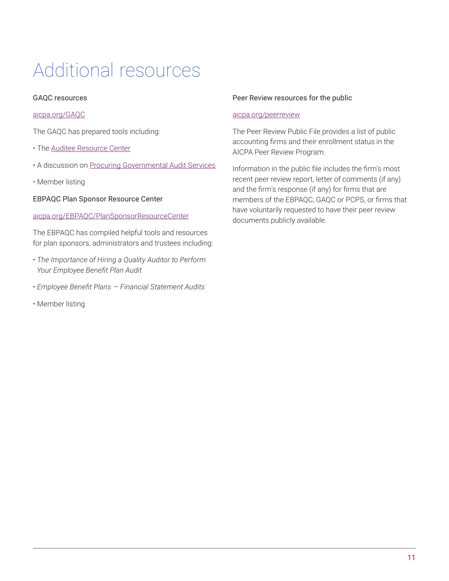## <span id="page-12-0"></span>Additional resources

#### GAQC resources

#### [aicpa.org/GAQC](http://www.aicpa.org/GAQC)

The GAQC has prepared tools including:

- The [Auditee Resource Center](https://www.aicpa.org/interestareas/governmentalauditquality/resources/auditeeresourcecenter/auditeetools-practiceaids-andotherresources.html)
- A discussion on [Procuring Governmental Audit Services](https://www.aicpa.org/content/dam/aicpa/interestareas/governmentalauditquality/resources/auditeeresourcecenter/downloadabledocuments/rfppracticeaid.pdf)
- Member listing

EBPAQC Plan Sponsor Resource Center

#### [aicpa.org/EBPAQC/PlanSponsorResourceCenter](https://www.aicpa.org/interestareas/employeebenefitplanauditquality/resources/plansponsorresourcecenter.html)

The EBPAQC has compiled helpful tools and resources for plan sponsors, administrators and trustees including:

- *The Importance of Hiring a Quality Auditor to Perform Your Employee Benefit Plan Audit*
- *Employee Benefit Plans Financial Statement Audits*
- Member listing

#### Peer Review resources for the public

#### [aicpa.org/peerreview](https://www.aicpa.org/interestareas/peerreview/community/firmsearch/forthepublic.html)

The Peer Review Public File provides a list of public accounting firms and their enrollment status in the AICPA Peer Review Program.

Information in the public file includes the firm's most recent peer review report, letter of comments (if any) and the firm's response (if any) for firms that are members of the EBPAQC, GAQC or PCPS, or firms that have voluntarily requested to have their peer review documents publicly available.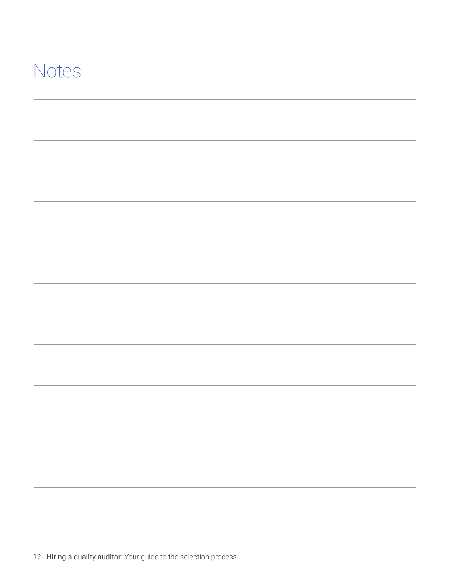### Notes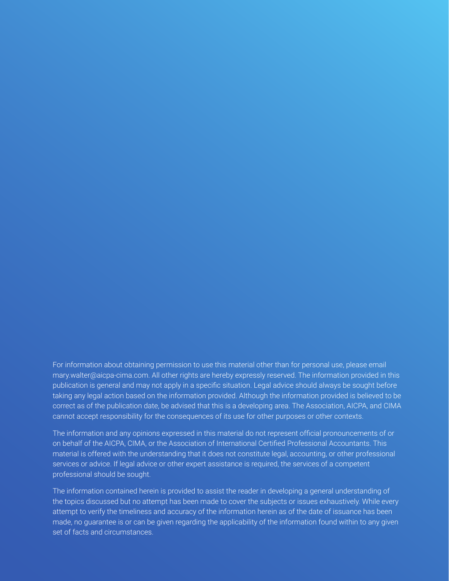For information about obtaining permission to use this material other than for personal use, please email mary.walter@aicpa-cima.com. All other rights are hereby expressly reserved. The information provided in this publication is general and may not apply in a specific situation. Legal advice should always be sought before taking any legal action based on the information provided. Although the information provided is believed to be correct as of the publication date, be advised that this is a developing area. The Association, AICPA, and CIMA cannot accept responsibility for the consequences of its use for other purposes or other contexts.

The information and any opinions expressed in this material do not represent official pronouncements of or on behalf of the AICPA, CIMA, or the Association of International Certified Professional Accountants. This material is offered with the understanding that it does not constitute legal, accounting, or other professional services or advice. If legal advice or other expert assistance is required, the services of a competent professional should be sought.

The information contained herein is provided to assist the reader in developing a general understanding of the topics discussed but no attempt has been made to cover the subjects or issues exhaustively. While every attempt to verify the timeliness and accuracy of the information herein as of the date of issuance has been made, no guarantee is or can be given regarding the applicability of the information found within to any given set of facts and circumstances.